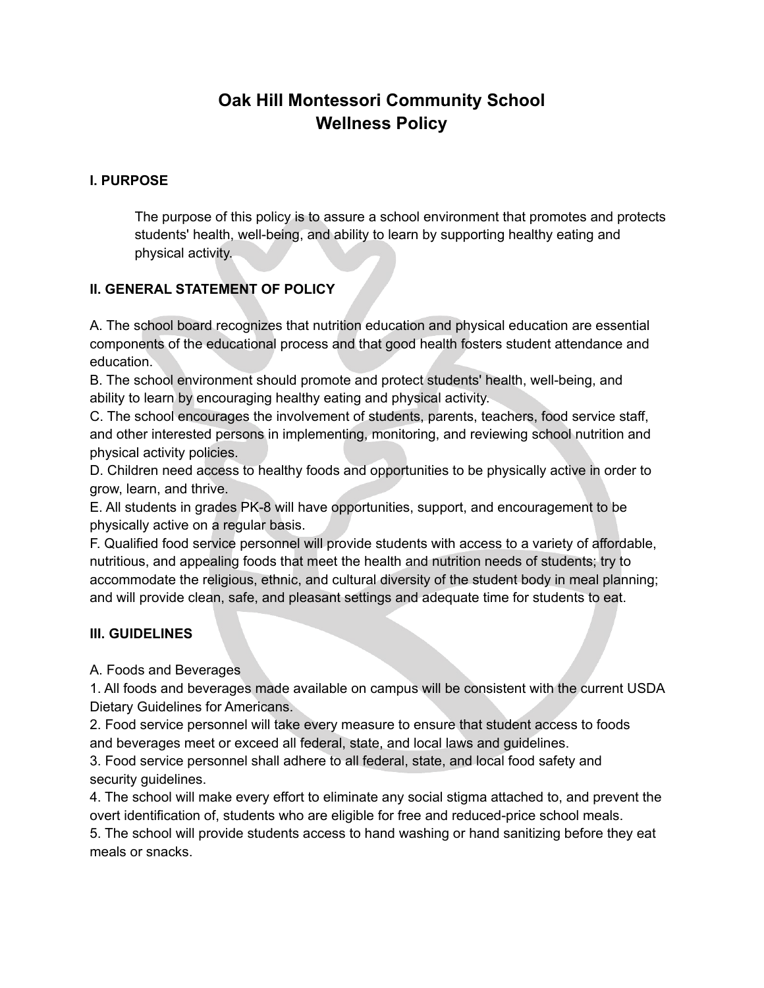# **Oak Hill Montessori Community School Wellness Policy**

### **I. PURPOSE**

The purpose of this policy is to assure a school environment that promotes and protects students' health, well-being, and ability to learn by supporting healthy eating and physical activity.

## **II. GENERAL STATEMENT OF POLICY**

A. The school board recognizes that nutrition education and physical education are essential components of the educational process and that good health fosters student attendance and education.

B. The school environment should promote and protect students' health, well-being, and ability to learn by encouraging healthy eating and physical activity.

C. The school encourages the involvement of students, parents, teachers, food service staff, and other interested persons in implementing, monitoring, and reviewing school nutrition and physical activity policies.

D. Children need access to healthy foods and opportunities to be physically active in order to grow, learn, and thrive.

E. All students in grades PK-8 will have opportunities, support, and encouragement to be physically active on a regular basis.

F. Qualified food service personnel will provide students with access to a variety of affordable, nutritious, and appealing foods that meet the health and nutrition needs of students; try to accommodate the religious, ethnic, and cultural diversity of the student body in meal planning; and will provide clean, safe, and pleasant settings and adequate time for students to eat.

### **III. GUIDELINES**

A. Foods and Beverages

1. All foods and beverages made available on campus will be consistent with the current USDA Dietary Guidelines for Americans.

2. Food service personnel will take every measure to ensure that student access to foods and beverages meet or exceed all federal, state, and local laws and guidelines.

3. Food service personnel shall adhere to all federal, state, and local food safety and security guidelines.

4. The school will make every effort to eliminate any social stigma attached to, and prevent the overt identification of, students who are eligible for free and reduced-price school meals.

5. The school will provide students access to hand washing or hand sanitizing before they eat meals or snacks.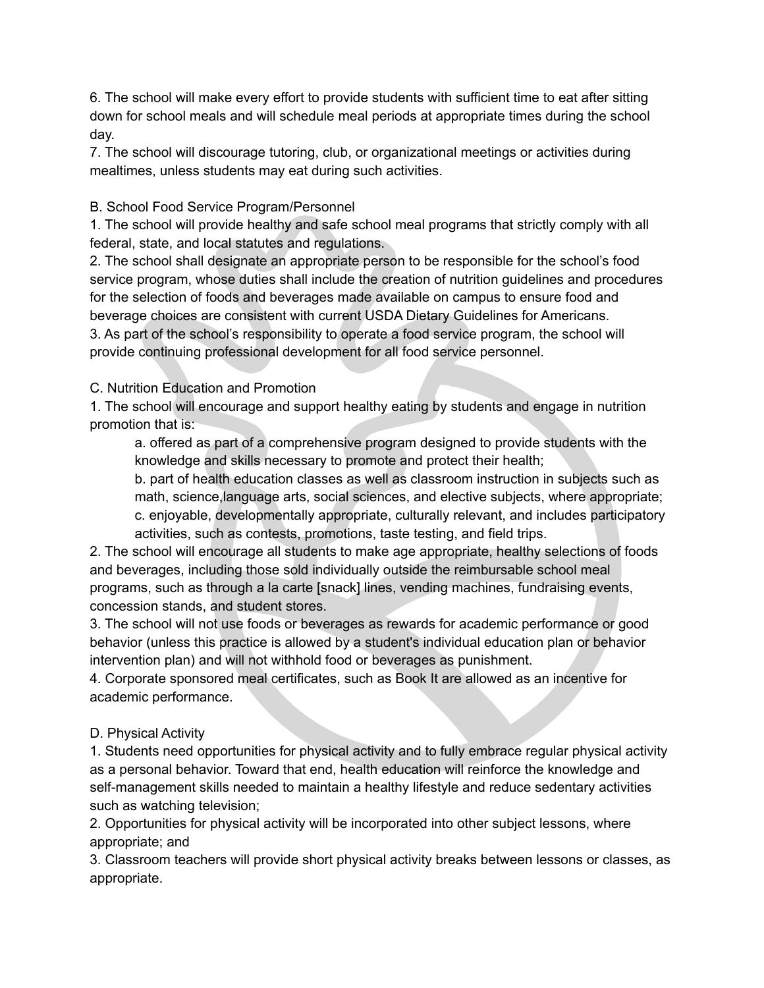6. The school will make every effort to provide students with sufficient time to eat after sitting down for school meals and will schedule meal periods at appropriate times during the school day.

7. The school will discourage tutoring, club, or organizational meetings or activities during mealtimes, unless students may eat during such activities.

## B. School Food Service Program/Personnel

1. The school will provide healthy and safe school meal programs that strictly comply with all federal, state, and local statutes and regulations.

2. The school shall designate an appropriate person to be responsible for the school's food service program, whose duties shall include the creation of nutrition guidelines and procedures for the selection of foods and beverages made available on campus to ensure food and beverage choices are consistent with current USDA Dietary Guidelines for Americans.

3. As part of the school's responsibility to operate a food service program, the school will provide continuing professional development for all food service personnel.

## C. Nutrition Education and Promotion

1. The school will encourage and support healthy eating by students and engage in nutrition promotion that is:

a. offered as part of a comprehensive program designed to provide students with the knowledge and skills necessary to promote and protect their health;

b. part of health education classes as well as classroom instruction in subjects such as math, science,language arts, social sciences, and elective subjects, where appropriate; c. enjoyable, developmentally appropriate, culturally relevant, and includes participatory activities, such as contests, promotions, taste testing, and field trips.

2. The school will encourage all students to make age appropriate, healthy selections of foods and beverages, including those sold individually outside the reimbursable school meal programs, such as through a la carte [snack] lines, vending machines, fundraising events, concession stands, and student stores.

3. The school will not use foods or beverages as rewards for academic performance or good behavior (unless this practice is allowed by a student's individual education plan or behavior intervention plan) and will not withhold food or beverages as punishment.

4. Corporate sponsored meal certificates, such as Book It are allowed as an incentive for academic performance.

# D. Physical Activity

1. Students need opportunities for physical activity and to fully embrace regular physical activity as a personal behavior. Toward that end, health education will reinforce the knowledge and self-management skills needed to maintain a healthy lifestyle and reduce sedentary activities such as watching television;

2. Opportunities for physical activity will be incorporated into other subject lessons, where appropriate; and

3. Classroom teachers will provide short physical activity breaks between lessons or classes, as appropriate.